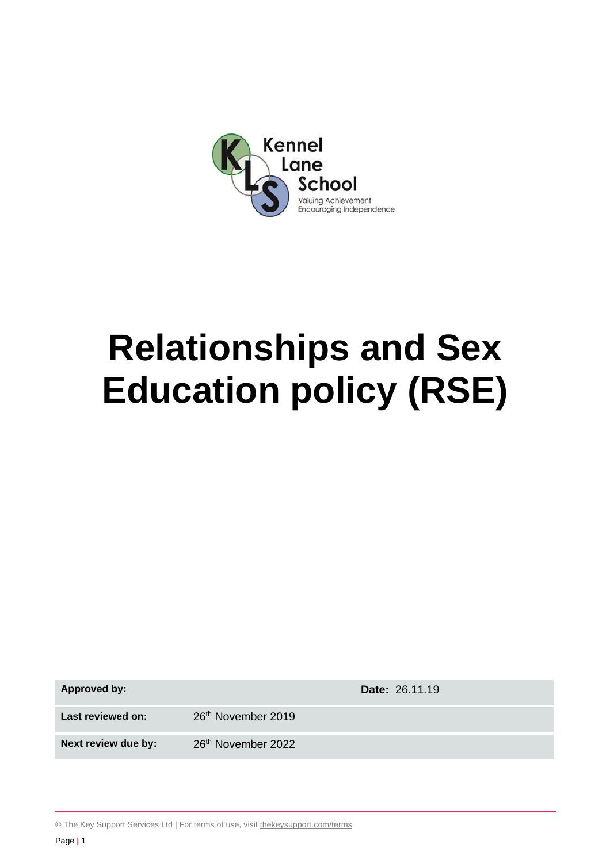

# **Relationships and Sex Education policy (RSE)**

**Approved by: Date:** 26.11.19

Last reviewed on: 26<sup>th</sup> November 2019

**Next review due by:** 26<sup>th</sup> November 2022

© The Key Support Services Ltd | For terms of use, visit [thekeysupport.com/terms](https://thekeysupport.com/terms-of-use)

Page **|** 1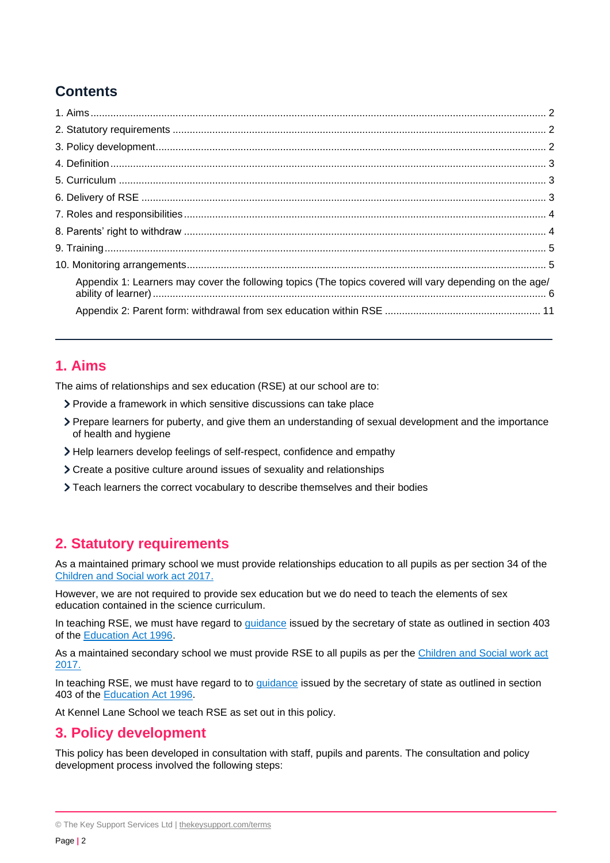## **Contents**

| Appendix 1: Learners may cover the following topics (The topics covered will vary depending on the age/ |  |
|---------------------------------------------------------------------------------------------------------|--|
|                                                                                                         |  |

## <span id="page-1-0"></span>**1. Aims**

The aims of relationships and sex education (RSE) at our school are to:

- Provide a framework in which sensitive discussions can take place
- Prepare learners for puberty, and give them an understanding of sexual development and the importance of health and hygiene
- Help learners develop feelings of self-respect, confidence and empathy
- Create a positive culture around issues of sexuality and relationships
- Teach learners the correct vocabulary to describe themselves and their bodies

## <span id="page-1-1"></span>**2. Statutory requirements**

As a maintained primary school we must provide relationships education to all pupils as per section 34 of the [Children and Social work act 2017.](http://www.legislation.gov.uk/ukpga/2017/16/section/34/enacted)

However, we are not required to provide sex education but we do need to teach the elements of sex education contained in the science curriculum.

In teaching RSE, we must have regard to [guidance](https://www.gov.uk/government/consultations/relationships-and-sex-education-and-health-education) issued by the secretary of state as outlined in section 403 of the [Education Act 1996.](http://www.legislation.gov.uk/ukpga/1996/56/contents)

As a maintained secondary school we must provide RSE to all pupils as per the Children and Social work act [2017.](http://www.legislation.gov.uk/ukpga/2017/16/section/34/enacted)

In teaching RSE, we must have regard to to *guidance* issued by the secretary of state as outlined in section 403 of the [Education Act 1996.](http://www.legislation.gov.uk/ukpga/1996/56/contents)

At Kennel Lane School we teach RSE as set out in this policy.

## <span id="page-1-2"></span>**3. Policy development**

This policy has been developed in consultation with staff, pupils and parents. The consultation and policy development process involved the following steps:

<sup>©</sup> The Key Support Services Ltd | [thekeysupport.com/terms](https://thekeysupport.com/terms-of-use)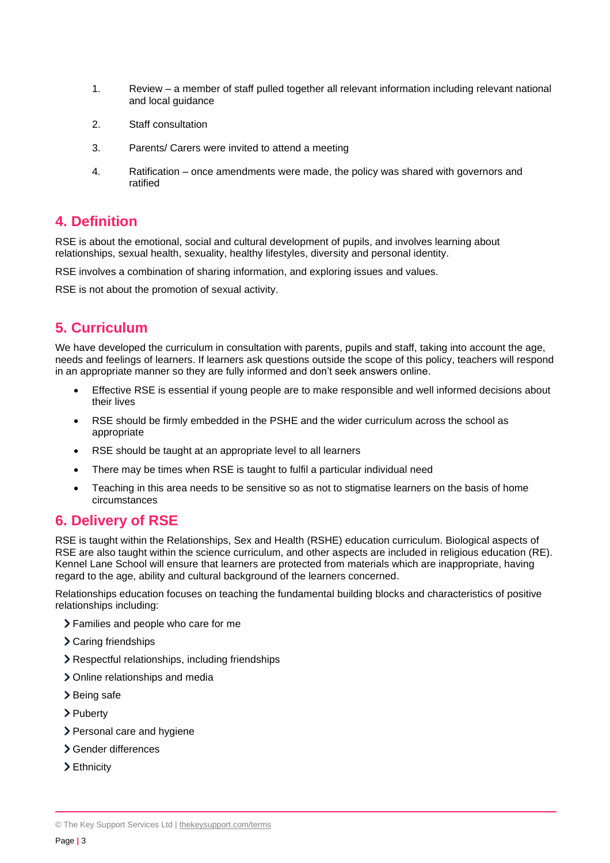- 1. Review a member of staff pulled together all relevant information including relevant national and local guidance
- 2. Staff consultation
- 3. Parents/ Carers were invited to attend a meeting
- 4. Ratification once amendments were made, the policy was shared with governors and ratified

## <span id="page-2-0"></span>**4. Definition**

RSE is about the emotional, social and cultural development of pupils, and involves learning about relationships, sexual health, sexuality, healthy lifestyles, diversity and personal identity.

RSE involves a combination of sharing information, and exploring issues and values.

RSE is not about the promotion of sexual activity.

## <span id="page-2-1"></span>**5. Curriculum**

We have developed the curriculum in consultation with parents, pupils and staff, taking into account the age, needs and feelings of learners. If learners ask questions outside the scope of this policy, teachers will respond in an appropriate manner so they are fully informed and don't seek answers online.

- Effective RSE is essential if young people are to make responsible and well informed decisions about their lives
- RSE should be firmly embedded in the PSHE and the wider curriculum across the school as appropriate
- RSE should be taught at an appropriate level to all learners
- There may be times when RSE is taught to fulfil a particular individual need
- Teaching in this area needs to be sensitive so as not to stigmatise learners on the basis of home circumstances

## <span id="page-2-2"></span>**6. Delivery of RSE**

RSE is taught within the Relationships, Sex and Health (RSHE) education curriculum. Biological aspects of RSE are also taught within the science curriculum, and other aspects are included in religious education (RE). Kennel Lane School will ensure that learners are protected from materials which are inappropriate, having regard to the age, ability and cultural background of the learners concerned.

Relationships education focuses on teaching the fundamental building blocks and characteristics of positive relationships including:

- Families and people who care for me
- Caring friendships
- Respectful relationships, including friendships
- > Online relationships and media
- > Being safe
- > Puberty
- > Personal care and hygiene
- Gender differences
- Ethnicity

<sup>©</sup> The Key Support Services Ltd | [thekeysupport.com/terms](https://thekeysupport.com/terms-of-use)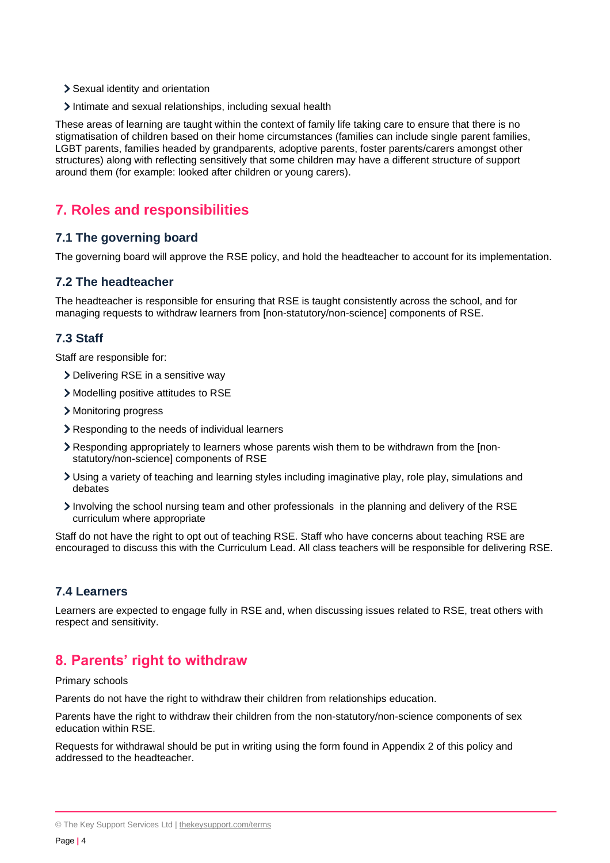- Sexual identity and orientation
- Intimate and sexual relationships, including sexual health

These areas of learning are taught within the context of family life taking care to ensure that there is no stigmatisation of children based on their home circumstances (families can include single parent families, LGBT parents, families headed by grandparents, adoptive parents, foster parents/carers amongst other structures) along with reflecting sensitively that some children may have a different structure of support around them (for example: looked after children or young carers).

## <span id="page-3-0"></span>**7. Roles and responsibilities**

#### **7.1 The governing board**

The governing board will approve the RSE policy, and hold the headteacher to account for its implementation.

#### **7.2 The headteacher**

The headteacher is responsible for ensuring that RSE is taught consistently across the school, and for managing requests to withdraw learners from [non-statutory/non-science] components of RSE.

#### **7.3 Staff**

Staff are responsible for:

- Delivering RSE in a sensitive way
- Modelling positive attitudes to RSE
- Monitoring progress
- Responding to the needs of individual learners
- Responding appropriately to learners whose parents wish them to be withdrawn from the [nonstatutory/non-science] components of RSE
- Using a variety of teaching and learning styles including imaginative play, role play, simulations and debates
- Involving the school nursing team and other professionals in the planning and delivery of the RSE curriculum where appropriate

Staff do not have the right to opt out of teaching RSE. Staff who have concerns about teaching RSE are encouraged to discuss this with the Curriculum Lead. All class teachers will be responsible for delivering RSE.

#### **7.4 Learners**

Learners are expected to engage fully in RSE and, when discussing issues related to RSE, treat others with respect and sensitivity.

## <span id="page-3-1"></span>**8. Parents' right to withdraw**

Primary schools

Parents do not have the right to withdraw their children from relationships education.

Parents have the right to withdraw their children from the non-statutory/non-science components of sex education within RSE.

Requests for withdrawal should be put in writing using the form found in Appendix 2 of this policy and addressed to the headteacher.

<sup>©</sup> The Key Support Services Ltd | [thekeysupport.com/terms](https://thekeysupport.com/terms-of-use)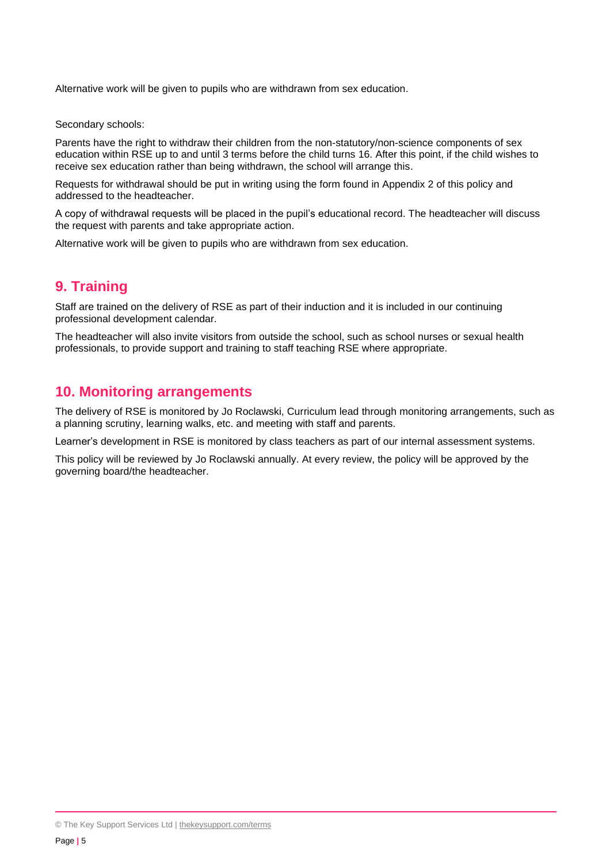Alternative work will be given to pupils who are withdrawn from sex education.

Secondary schools:

Parents have the right to withdraw their children from the non-statutory/non-science components of sex education within RSE up to and until 3 terms before the child turns 16. After this point, if the child wishes to receive sex education rather than being withdrawn, the school will arrange this.

Requests for withdrawal should be put in writing using the form found in Appendix 2 of this policy and addressed to the headteacher.

A copy of withdrawal requests will be placed in the pupil's educational record. The headteacher will discuss the request with parents and take appropriate action.

Alternative work will be given to pupils who are withdrawn from sex education.

## <span id="page-4-0"></span>**9. Training**

Staff are trained on the delivery of RSE as part of their induction and it is included in our continuing professional development calendar.

The headteacher will also invite visitors from outside the school, such as school nurses or sexual health professionals, to provide support and training to staff teaching RSE where appropriate.

## <span id="page-4-1"></span>**10. Monitoring arrangements**

The delivery of RSE is monitored by Jo Roclawski, Curriculum lead through monitoring arrangements, such as a planning scrutiny, learning walks, etc. and meeting with staff and parents.

Learner's development in RSE is monitored by class teachers as part of our internal assessment systems.

This policy will be reviewed by Jo Roclawski annually. At every review, the policy will be approved by the governing board/the headteacher.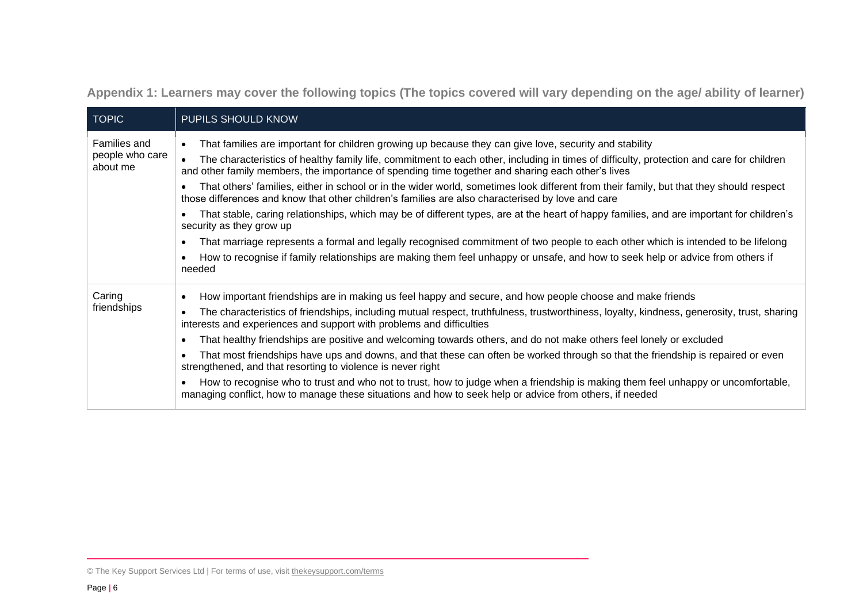**Appendix 1: Learners may cover the following topics (The topics covered will vary depending on the age/ ability of learner)**

| <b>TOPIC</b>                | PUPILS SHOULD KNOW                                                                                                                                                                                                                            |
|-----------------------------|-----------------------------------------------------------------------------------------------------------------------------------------------------------------------------------------------------------------------------------------------|
| Families and                | That families are important for children growing up because they can give love, security and stability<br>$\bullet$                                                                                                                           |
| people who care<br>about me | The characteristics of healthy family life, commitment to each other, including in times of difficulty, protection and care for children<br>and other family members, the importance of spending time together and sharing each other's lives |
|                             | That others' families, either in school or in the wider world, sometimes look different from their family, but that they should respect<br>those differences and know that other children's families are also characterised by love and care  |
|                             | That stable, caring relationships, which may be of different types, are at the heart of happy families, and are important for children's<br>security as they grow up                                                                          |
|                             | That marriage represents a formal and legally recognised commitment of two people to each other which is intended to be lifelong                                                                                                              |
|                             | How to recognise if family relationships are making them feel unhappy or unsafe, and how to seek help or advice from others if<br>needed                                                                                                      |
| Caring                      | How important friendships are in making us feel happy and secure, and how people choose and make friends                                                                                                                                      |
| friendships                 | The characteristics of friendships, including mutual respect, truthfulness, trustworthiness, loyalty, kindness, generosity, trust, sharing<br>interests and experiences and support with problems and difficulties                            |
|                             | That healthy friendships are positive and welcoming towards others, and do not make others feel lonely or excluded                                                                                                                            |
|                             | That most friendships have ups and downs, and that these can often be worked through so that the friendship is repaired or even<br>strengthened, and that resorting to violence is never right                                                |
|                             | How to recognise who to trust and who not to trust, how to judge when a friendship is making them feel unhappy or uncomfortable,<br>managing conflict, how to manage these situations and how to seek help or advice from others, if needed   |

<span id="page-5-0"></span><sup>©</sup> The Key Support Services Ltd | For terms of use, visit [thekeysupport.com/terms](https://thekeysupport.com/terms-of-use)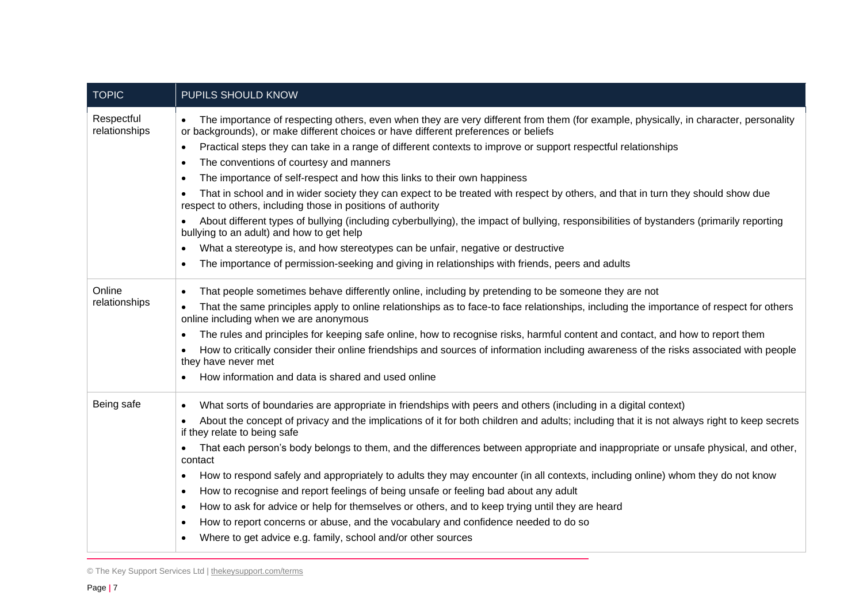| <b>TOPIC</b>                | PUPILS SHOULD KNOW                                                                                                                                                                                                          |
|-----------------------------|-----------------------------------------------------------------------------------------------------------------------------------------------------------------------------------------------------------------------------|
| Respectful<br>relationships | The importance of respecting others, even when they are very different from them (for example, physically, in character, personality<br>or backgrounds), or make different choices or have different preferences or beliefs |
|                             | Practical steps they can take in a range of different contexts to improve or support respectful relationships<br>$\bullet$                                                                                                  |
|                             | The conventions of courtesy and manners<br>٠                                                                                                                                                                                |
|                             | The importance of self-respect and how this links to their own happiness<br>$\bullet$                                                                                                                                       |
|                             | That in school and in wider society they can expect to be treated with respect by others, and that in turn they should show due<br>respect to others, including those in positions of authority                             |
|                             | About different types of bullying (including cyberbullying), the impact of bullying, responsibilities of bystanders (primarily reporting<br>bullying to an adult) and how to get help                                       |
|                             | What a stereotype is, and how stereotypes can be unfair, negative or destructive<br>$\bullet$                                                                                                                               |
|                             | The importance of permission-seeking and giving in relationships with friends, peers and adults                                                                                                                             |
| Online                      | That people sometimes behave differently online, including by pretending to be someone they are not                                                                                                                         |
| relationships               | That the same principles apply to online relationships as to face-to face relationships, including the importance of respect for others<br>online including when we are anonymous                                           |
|                             | The rules and principles for keeping safe online, how to recognise risks, harmful content and contact, and how to report them<br>٠                                                                                          |
|                             | How to critically consider their online friendships and sources of information including awareness of the risks associated with people<br>they have never met                                                               |
|                             | How information and data is shared and used online                                                                                                                                                                          |
| Being safe                  | What sorts of boundaries are appropriate in friendships with peers and others (including in a digital context)<br>$\bullet$                                                                                                 |
|                             | About the concept of privacy and the implications of it for both children and adults; including that it is not always right to keep secrets<br>$\bullet$<br>if they relate to being safe                                    |
|                             | That each person's body belongs to them, and the differences between appropriate and inappropriate or unsafe physical, and other,<br>$\bullet$<br>contact                                                                   |
|                             | How to respond safely and appropriately to adults they may encounter (in all contexts, including online) whom they do not know<br>٠                                                                                         |
|                             | How to recognise and report feelings of being unsafe or feeling bad about any adult<br>$\bullet$                                                                                                                            |
|                             | How to ask for advice or help for themselves or others, and to keep trying until they are heard<br>$\bullet$                                                                                                                |
|                             | How to report concerns or abuse, and the vocabulary and confidence needed to do so<br>$\bullet$                                                                                                                             |
|                             | Where to get advice e.g. family, school and/or other sources                                                                                                                                                                |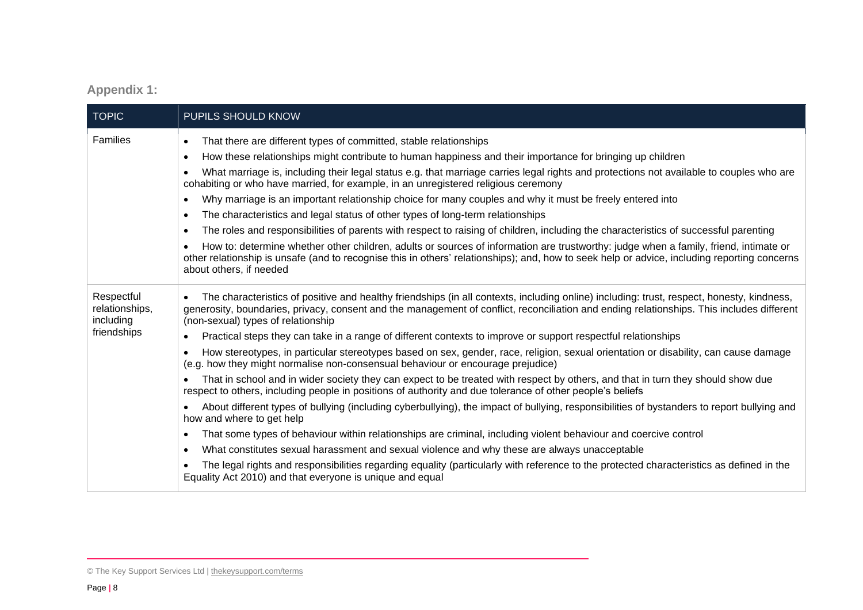## **Appendix 1:**

| <b>TOPIC</b>                              | PUPILS SHOULD KNOW                                                                                                                                                                                                                                                                                                                        |
|-------------------------------------------|-------------------------------------------------------------------------------------------------------------------------------------------------------------------------------------------------------------------------------------------------------------------------------------------------------------------------------------------|
| <b>Families</b>                           | That there are different types of committed, stable relationships<br>$\bullet$                                                                                                                                                                                                                                                            |
|                                           | How these relationships might contribute to human happiness and their importance for bringing up children<br>$\bullet$                                                                                                                                                                                                                    |
|                                           | What marriage is, including their legal status e.g. that marriage carries legal rights and protections not available to couples who are<br>$\bullet$<br>cohabiting or who have married, for example, in an unregistered religious ceremony                                                                                                |
|                                           | Why marriage is an important relationship choice for many couples and why it must be freely entered into<br>$\bullet$                                                                                                                                                                                                                     |
|                                           | The characteristics and legal status of other types of long-term relationships<br>$\bullet$                                                                                                                                                                                                                                               |
|                                           | The roles and responsibilities of parents with respect to raising of children, including the characteristics of successful parenting<br>$\bullet$                                                                                                                                                                                         |
|                                           | How to: determine whether other children, adults or sources of information are trustworthy: judge when a family, friend, intimate or<br>other relationship is unsafe (and to recognise this in others' relationships); and, how to seek help or advice, including reporting concerns<br>about others, if needed                           |
| Respectful<br>relationships,<br>including | The characteristics of positive and healthy friendships (in all contexts, including online) including: trust, respect, honesty, kindness,<br>$\bullet$<br>generosity, boundaries, privacy, consent and the management of conflict, reconciliation and ending relationships. This includes different<br>(non-sexual) types of relationship |
| friendships                               | Practical steps they can take in a range of different contexts to improve or support respectful relationships<br>$\bullet$                                                                                                                                                                                                                |
|                                           | How stereotypes, in particular stereotypes based on sex, gender, race, religion, sexual orientation or disability, can cause damage<br>$\bullet$<br>(e.g. how they might normalise non-consensual behaviour or encourage prejudice)                                                                                                       |
|                                           | That in school and in wider society they can expect to be treated with respect by others, and that in turn they should show due<br>respect to others, including people in positions of authority and due tolerance of other people's beliefs                                                                                              |
|                                           | About different types of bullying (including cyberbullying), the impact of bullying, responsibilities of bystanders to report bullying and<br>how and where to get help                                                                                                                                                                   |
|                                           | That some types of behaviour within relationships are criminal, including violent behaviour and coercive control<br>$\bullet$                                                                                                                                                                                                             |
|                                           | What constitutes sexual harassment and sexual violence and why these are always unacceptable<br>$\bullet$                                                                                                                                                                                                                                 |
|                                           | The legal rights and responsibilities regarding equality (particularly with reference to the protected characteristics as defined in the<br>Equality Act 2010) and that everyone is unique and equal                                                                                                                                      |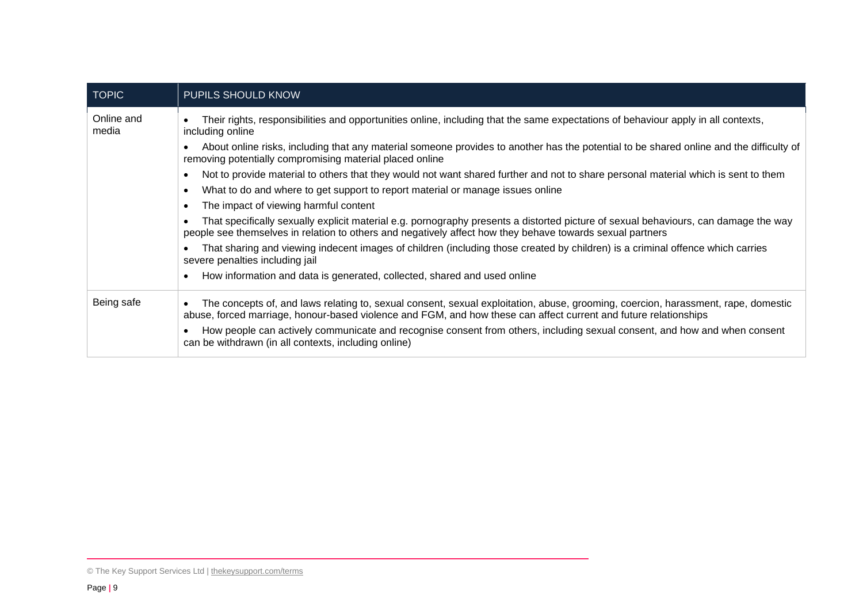| <b>TOPIC</b>        | <b>PUPILS SHOULD KNOW</b>                                                                                                                                                                                                                                          |
|---------------------|--------------------------------------------------------------------------------------------------------------------------------------------------------------------------------------------------------------------------------------------------------------------|
| Online and<br>media | Their rights, responsibilities and opportunities online, including that the same expectations of behaviour apply in all contexts,<br>including online                                                                                                              |
|                     | About online risks, including that any material someone provides to another has the potential to be shared online and the difficulty of<br>$\bullet$<br>removing potentially compromising material placed online                                                   |
|                     | Not to provide material to others that they would not want shared further and not to share personal material which is sent to them<br>$\bullet$                                                                                                                    |
|                     | What to do and where to get support to report material or manage issues online<br>$\bullet$                                                                                                                                                                        |
|                     | The impact of viewing harmful content<br>$\bullet$                                                                                                                                                                                                                 |
|                     | That specifically sexually explicit material e.g. pornography presents a distorted picture of sexual behaviours, can damage the way<br>$\bullet$<br>people see themselves in relation to others and negatively affect how they behave towards sexual partners      |
|                     | That sharing and viewing indecent images of children (including those created by children) is a criminal offence which carries<br>$\bullet$<br>severe penalties including jail                                                                                     |
|                     | How information and data is generated, collected, shared and used online<br>$\bullet$                                                                                                                                                                              |
| Being safe          | The concepts of, and laws relating to, sexual consent, sexual exploitation, abuse, grooming, coercion, harassment, rape, domestic<br>$\bullet$<br>abuse, forced marriage, honour-based violence and FGM, and how these can affect current and future relationships |
|                     | How people can actively communicate and recognise consent from others, including sexual consent, and how and when consent<br>can be withdrawn (in all contexts, including online)                                                                                  |

<sup>©</sup> The Key Support Services Ltd | [thekeysupport.com/terms](https://thekeysupport.com/terms-of-use)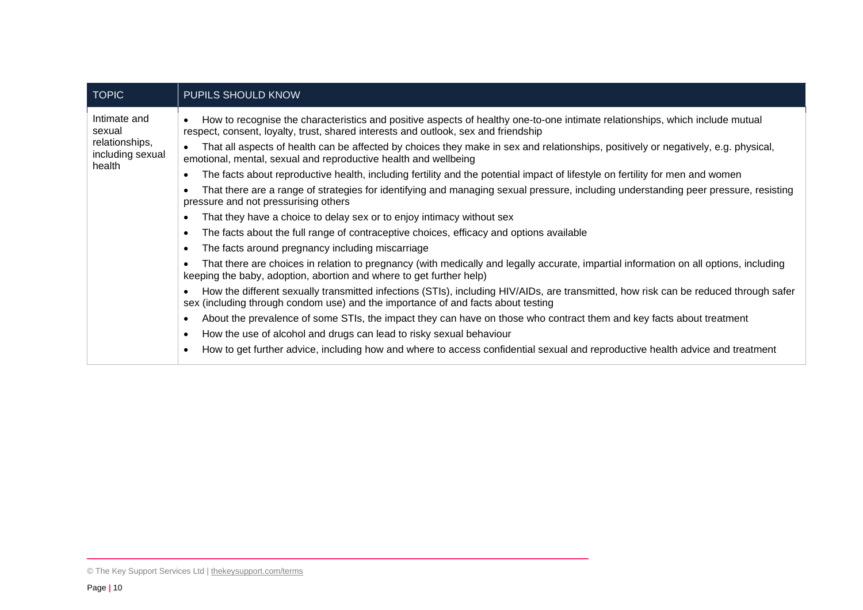| <b>TOPIC</b>                                                           | <b>PUPILS SHOULD KNOW</b>                                                                                                                                                                                                |
|------------------------------------------------------------------------|--------------------------------------------------------------------------------------------------------------------------------------------------------------------------------------------------------------------------|
| Intimate and<br>sexual<br>relationships,<br>including sexual<br>health | How to recognise the characteristics and positive aspects of healthy one-to-one intimate relationships, which include mutual<br>respect, consent, loyalty, trust, shared interests and outlook, sex and friendship       |
|                                                                        | That all aspects of health can be affected by choices they make in sex and relationships, positively or negatively, e.g. physical,<br>emotional, mental, sexual and reproductive health and wellbeing                    |
|                                                                        | The facts about reproductive health, including fertility and the potential impact of lifestyle on fertility for men and women                                                                                            |
|                                                                        | That there are a range of strategies for identifying and managing sexual pressure, including understanding peer pressure, resisting<br>pressure and not pressurising others                                              |
|                                                                        | That they have a choice to delay sex or to enjoy intimacy without sex                                                                                                                                                    |
|                                                                        | The facts about the full range of contraceptive choices, efficacy and options available                                                                                                                                  |
|                                                                        | The facts around pregnancy including miscarriage                                                                                                                                                                         |
|                                                                        | That there are choices in relation to pregnancy (with medically and legally accurate, impartial information on all options, including<br>keeping the baby, adoption, abortion and where to get further help)             |
|                                                                        | How the different sexually transmitted infections (STIs), including HIV/AIDs, are transmitted, how risk can be reduced through safer<br>sex (including through condom use) and the importance of and facts about testing |
|                                                                        | About the prevalence of some STIs, the impact they can have on those who contract them and key facts about treatment                                                                                                     |
|                                                                        | How the use of alcohol and drugs can lead to risky sexual behaviour                                                                                                                                                      |
|                                                                        | How to get further advice, including how and where to access confidential sexual and reproductive health advice and treatment                                                                                            |

<sup>©</sup> The Key Support Services Ltd | [thekeysupport.com/terms](https://thekeysupport.com/terms-of-use)